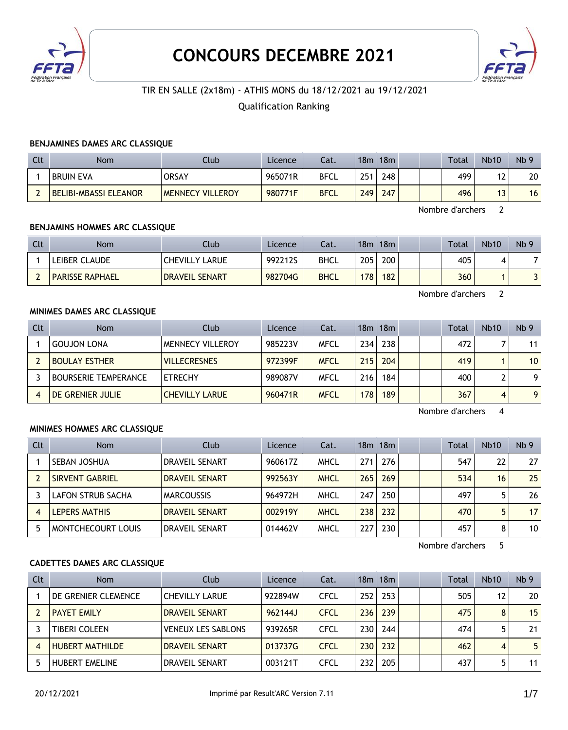

# **CONCOURS DECEMBRE 2021**



## TIR EN SALLE (2x18m) - ATHIS MONS du 18/12/2021 au 19/12/2021

## Qualification Ranking

## **BENJAMINES DAMES ARC CLASSIQUE**

| Clt | <b>Nom</b>            | Club                    | Licence | Cat.        | 18m | 18m |  | <b>Total</b> | <b>Nb10</b> | Nb <sub>9</sub> |
|-----|-----------------------|-------------------------|---------|-------------|-----|-----|--|--------------|-------------|-----------------|
|     | <b>BRUIN EVA</b>      | <b>ORSAY</b>            | 965071R | <b>BFCL</b> | 251 | 248 |  | 499          | 17<br>ᇈ     | 20              |
|     | BELIBI-MBASSI ELEANOR | <b>MENNECY VILLEROY</b> | 980771F | <b>BFCL</b> | 249 | 247 |  | 496          | ر ا         | 16              |

Nombre d'archers 2

#### **BENJAMINS HOMMES ARC CLASSIQUE**

| <b>Clt</b> | Nom                    | Club                  | Licence | Cat.        | 18m | 18m |  | <b>Total</b> | <b>Nb10</b> | Nb <sub>9</sub> |
|------------|------------------------|-----------------------|---------|-------------|-----|-----|--|--------------|-------------|-----------------|
|            | LEIBER CLAUDE          | <b>CHEVILLY LARUE</b> | 992212S | <b>BHCL</b> | 205 | 200 |  | 405          |             |                 |
|            | <b>PARISSE RAPHAEL</b> | <b>DRAVEIL SENART</b> | 982704G | <b>BHCL</b> | 178 | 182 |  | 360          |             | ו כ             |

Nombre d'archers 2

## **MINIMES DAMES ARC CLASSIQUE**

| Clt | <b>Nom</b>                  | Club                    | Licence | Cat.        |      | $18m$ 18 $m$ |  | <b>Total</b> | <b>Nb10</b> | Nb <sub>9</sub> |
|-----|-----------------------------|-------------------------|---------|-------------|------|--------------|--|--------------|-------------|-----------------|
|     | <b>GOUJON LONA</b>          | <b>MENNECY VILLEROY</b> | 985223V | <b>MFCL</b> | 234. | 238          |  | 472          |             | 11 <sub>1</sub> |
|     | <b>BOULAY ESTHER</b>        | <b>VILLECRESNES</b>     | 972399F | <b>MFCL</b> | 215  | 204          |  | 419          |             | 10              |
|     | <b>BOURSERIE TEMPERANCE</b> | <b>ETRECHY</b>          | 989087V | <b>MFCL</b> | 216  | 184          |  | 400          |             | 9 <sub>1</sub>  |
|     | DE GRENIER JULIE            | <b>CHEVILLY LARUE</b>   | 960471R | <b>MFCL</b> | 178  | 189          |  | 367          |             | 9               |

Nombre d'archers 4

#### **MINIMES HOMMES ARC CLASSIQUE**

| Clt | <b>Nom</b>                | Club                  | Licence | Cat.        |     | $18m$ 18 $m$ |  | Total | <b>Nb10</b> | Nb <sub>9</sub> |
|-----|---------------------------|-----------------------|---------|-------------|-----|--------------|--|-------|-------------|-----------------|
|     | SEBAN JOSHUA              | DRAVEIL SENART        | 960617Z | <b>MHCL</b> | 271 | 276          |  | 547   | 22          | 27              |
|     | SIRVENT GABRIEL           | <b>DRAVEIL SENART</b> | 992563Y | <b>MHCL</b> | 265 | 269          |  | 534   | 16          | 25              |
|     | LAFON STRUB SACHA         | <b>MARCOUSSIS</b>     | 964972H | <b>MHCL</b> | 247 | 250          |  | 497   |             | 26              |
| 4   | LEPERS MATHIS             | <b>DRAVEIL SENART</b> | 002919Y | <b>MHCL</b> | 238 | 232          |  | 470   |             | 17              |
| 5   | <b>MONTCHECOURT LOUIS</b> | <b>DRAVEIL SENART</b> | 014462V | <b>MHCL</b> | 227 | 230          |  | 457   | 8           | 10              |

Nombre d'archers 5

#### **CADETTES DAMES ARC CLASSIQUE**

| <b>Clt</b> | <b>Nom</b>             | Club                      | Licence | Cat.        |     | $18m$ 18 $m$ |  | Total | <b>Nb10</b>    | Nb <sub>9</sub> |
|------------|------------------------|---------------------------|---------|-------------|-----|--------------|--|-------|----------------|-----------------|
|            | DE GRENIER CLEMENCE    | <b>CHEVILLY LARUE</b>     | 922894W | <b>CFCL</b> | 252 | 253          |  | 505   | 12             | 20              |
|            | <b>PAYET EMILY</b>     | <b>DRAVEIL SENART</b>     | 962144J | <b>CFCL</b> | 236 | 239          |  | 475   | 8              | 15              |
|            | <b>TIBERI COLEEN</b>   | <b>VENEUX LES SABLONS</b> | 939265R | <b>CFCL</b> | 230 | 244          |  | 474   |                | 21              |
|            | <b>HUBERT MATHILDE</b> | <b>DRAVEIL SENART</b>     | 013737G | <b>CFCL</b> | 230 | 232          |  | 462   | $\overline{4}$ | 5               |
|            | <b>HUBERT EMELINE</b>  | <b>DRAVEIL SENART</b>     | 003121T | CFCL        | 232 | 205          |  | 437   |                | 11              |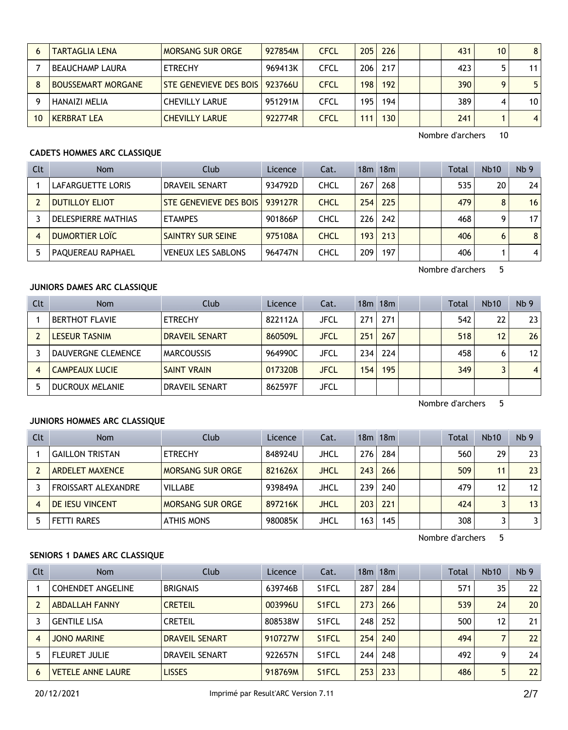|    | <b>TARTAGLIA LENA</b>     | <b>MORSANG SUR ORGE</b>       | 927854M | <b>CFCL</b> | 205 l | 226 |  | 431 | 10 <sup>°</sup> | 8 <sup>1</sup>  |
|----|---------------------------|-------------------------------|---------|-------------|-------|-----|--|-----|-----------------|-----------------|
|    | I BEAUCHAMP LAURA         | <b>ETRECHY</b>                | 969413K | CFCL        | 206   | 217 |  | 423 |                 | 11              |
|    | <b>BOUSSEMART MORGANE</b> | <b>STE GENEVIEVE DES BOIS</b> | 923766U | <b>CFCL</b> | 198   | 192 |  | 390 |                 | 5 <sup>1</sup>  |
|    | HANAIZI MELIA             | <b>CHEVILLY LARUE</b>         | 951291M | CFCL        | 195   | 194 |  | 389 |                 | 10 <sub>1</sub> |
| 10 | <b>KERBRAT LEA</b>        | <b>CHEVILLY LARUE</b>         | 922774R | <b>CFCL</b> | 111   | 130 |  | 241 |                 | 4 <sup>1</sup>  |

# **CADETS HOMMES ARC CLASSIQUE**

| Clt | <b>Nom</b>            | Club                      | Licence | Cat.        |     | 18m 18m |  | <b>Total</b> | Nb10 | Nb <sub>9</sub> |
|-----|-----------------------|---------------------------|---------|-------------|-----|---------|--|--------------|------|-----------------|
|     | LAFARGUETTE LORIS     | DRAVEIL SENART            | 934792D | <b>CHCL</b> | 267 | 268     |  | 535          | 20   | 24              |
|     | <b>DUTILLOY ELIOT</b> | STE GENEVIEVE DES BOIS    | 939127R | <b>CHCL</b> | 254 | 225     |  | 479          | 8    | 16              |
|     | DELESPIERRE MATHIAS   | <b>ETAMPES</b>            | 901866P | CHCL        | 226 | 242     |  | 468          |      | 17              |
| 4   | DUMORTIER LOÏC        | SAINTRY SUR SEINE         | 975108A | <b>CHCL</b> | 193 | 213     |  | 406          | 6    | 8               |
|     | PAQUEREAU RAPHAEL     | <b>VENEUX LES SABLONS</b> | 964747N | CHCL        | 209 | 197     |  | 406          |      | 4               |

Nombre d'archers 5

## **JUNIORS DAMES ARC CLASSIQUE**

| Clt | <b>Nom</b>             | Club                  | Licence | Cat.        |     | 18m 18m |  | <b>Total</b> | <b>Nb10</b> | Nb <sub>9</sub> |
|-----|------------------------|-----------------------|---------|-------------|-----|---------|--|--------------|-------------|-----------------|
|     | <b>BERTHOT FLAVIE</b>  | <b>ETRECHY</b>        | 822112A | <b>JFCL</b> | 271 | 271     |  | 542          | 22          | 23              |
|     | LESEUR TASNIM          | <b>DRAVEIL SENART</b> | 860509L | JFCL        | 251 | 267     |  | 518          | 12          | 26              |
|     | DAUVERGNE CLEMENCE     | <b>MARCOUSSIS</b>     | 964990C | <b>JFCL</b> | 234 | 224     |  | 458          |             | 12              |
| 4   | <b>CAMPEAUX LUCIE</b>  | <b>SAINT VRAIN</b>    | 017320B | <b>JFCL</b> | 154 | 195     |  | 349          |             | $\overline{4}$  |
| 5   | <b>DUCROUX MELANIE</b> | <b>DRAVEIL SENART</b> | 862597F | JFCL        |     |         |  |              |             |                 |

Nombre d'archers 5

## **JUNIORS HOMMES ARC CLASSIQUE**

| Clt | Nom                    | Club                    | Licence | Cat.        |      | 18m 18m |  | Total | <b>Nb10</b>       | Nb <sub>9</sub> |
|-----|------------------------|-------------------------|---------|-------------|------|---------|--|-------|-------------------|-----------------|
|     | <b>GAILLON TRISTAN</b> | <b>ETRECHY</b>          | 848924U | JHCL        | 276  | 284     |  | 560   | 29                | 23              |
|     | <b>ARDELET MAXENCE</b> | <b>MORSANG SUR ORGE</b> | 821626X | <b>JHCL</b> | 243  | 266     |  | 509   | 11 <sub>1</sub>   | 23              |
|     | FROISSART ALEXANDRE    | <b>VILLABE</b>          | 939849A | <b>JHCL</b> | 239  | 240     |  | 479   | $12 \overline{ }$ | 12              |
|     | <b>DE IESU VINCENT</b> | <b>MORSANG SUR ORGE</b> | 897216K | <b>JHCL</b> | 203  | 221     |  | 424   |                   | 13              |
|     | <b>FETTI RARES</b>     | <b>ATHIS MONS</b>       | 980085K | JHCL        | 163. | 145     |  | 308   |                   | 31              |

Nombre d'archers 5

## **SENIORS 1 DAMES ARC CLASSIQUE**

| Clt | <b>Nom</b>               | Club                  | Licence | Cat.               |     | $18m$ 18 $m$ |  | <b>Total</b> | Nb10 | Nb <sub>9</sub> |
|-----|--------------------------|-----------------------|---------|--------------------|-----|--------------|--|--------------|------|-----------------|
|     | <b>COHENDET ANGELINE</b> | <b>BRIGNAIS</b>       | 639746B | S <sub>1</sub> FCL | 287 | 284          |  | 571          | 35   | 22 <sub>1</sub> |
|     | <b>ABDALLAH FANNY</b>    | <b>CRETEIL</b>        | 003996U | S1FCL              | 273 | 266          |  | 539          | 24   | 20 <sub>1</sub> |
|     | <b>GENTILE LISA</b>      | <b>CRETEIL</b>        | 808538W | S1FCL              | 248 | 252          |  | 500          | 12   | 21              |
| 4   | <b>JONO MARINE</b>       | <b>DRAVEIL SENART</b> | 910727W | S1FCL              | 254 | 240          |  | 494          |      | $22 \vert$      |
|     | <b>FLEURET JULIE</b>     | DRAVEIL SENART        | 922657N | S <sub>1</sub> FCL | 244 | 248          |  | 492          | Q    | 24              |
| 6   | <b>VETELE ANNE LAURE</b> | <b>LISSES</b>         | 918769M | S <sub>1</sub> FCL | 253 | 233          |  | 486          | 5    | 22              |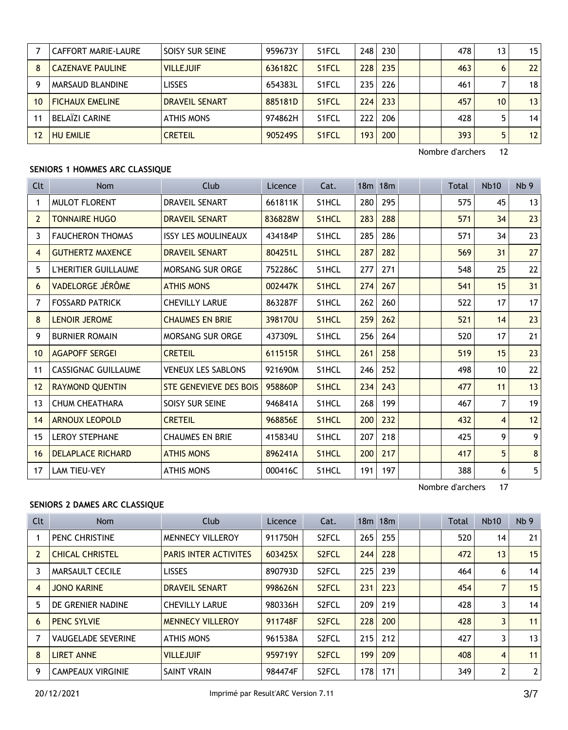|    | CAFFORT MARIE-LAURE     | <b>SOISY SUR SEINE</b> | 959673Y | S1FCL              | 248              | 230 |  | 478 | 13 | 15 <sup>1</sup> |
|----|-------------------------|------------------------|---------|--------------------|------------------|-----|--|-----|----|-----------------|
|    | <b>CAZENAVE PAULINE</b> | <b>VILLEJUIF</b>       | 636182C | S <sub>1</sub> FCL | 228              | 235 |  | 463 | 6  | 22              |
|    | <b>MARSAUD BLANDINE</b> | <b>LISSES</b>          | 654383L | S1FCL              | 235              | 226 |  | 461 |    | 18              |
| 10 | <b>FICHAUX EMELINE</b>  | <b>DRAVEIL SENART</b>  | 885181D | S <sub>1</sub> FCL | 224              | 233 |  | 457 | 10 | 13              |
|    | BELAÏZI CARINE          | ATHIS MONS             | 974862H | S1FCL              | 222              | 206 |  | 428 |    | 14              |
| 12 | <b>HU EMILIE</b>        | <b>CRETEIL</b>         | 905249S | S <sub>1</sub> FCL | 193 <sub>1</sub> | 200 |  | 393 | 5  | 12              |

## **SENIORS 1 HOMMES ARC CLASSIQUE**

| Clt            | Nom                      | Club                       | Licence | Cat.               | 18m 18m |     |  | <b>Total</b> | <b>Nb10</b>    | Nb <sub>9</sub> |
|----------------|--------------------------|----------------------------|---------|--------------------|---------|-----|--|--------------|----------------|-----------------|
| 1              | <b>MULOT FLORENT</b>     | <b>DRAVEIL SENART</b>      | 661811K | S <sub>1</sub> HCL | 280     | 295 |  | 575          | 45             | 13              |
| $\overline{2}$ | <b>TONNAIRE HUGO</b>     | <b>DRAVEIL SENART</b>      | 836828W | S <sub>1</sub> HCL | 283     | 288 |  | 571          | 34             | 23              |
| 3              | <b>FAUCHERON THOMAS</b>  | <b>ISSY LES MOULINEAUX</b> | 434184P | S1HCL              | 285     | 286 |  | 571          | 34             | 23              |
| 4              | <b>GUTHERTZ MAXENCE</b>  | <b>DRAVEIL SENART</b>      | 804251L | S <sub>1</sub> HCL | 287     | 282 |  | 569          | 31             | 27              |
| 5              | L'HERITIER GUILLAUME     | MORSANG SUR ORGE           | 752286C | S1HCL              | 277     | 271 |  | 548          | 25             | 22              |
| 6              | VADELORGE JÉRÔME         | <b>ATHIS MONS</b>          | 002447K | S <sub>1</sub> HCL | 274     | 267 |  | 541          | 15             | 31              |
| 7              | <b>FOSSARD PATRICK</b>   | <b>CHEVILLY LARUE</b>      | 863287F | S1HCL              | 262     | 260 |  | 522          | 17             | 17              |
| 8              | <b>LENOIR JEROME</b>     | <b>CHAUMES EN BRIE</b>     | 398170U | S <sub>1</sub> HCL | 259     | 262 |  | 521          | 14             | 23              |
| 9              | <b>BURNIER ROMAIN</b>    | <b>MORSANG SUR ORGE</b>    | 437309L | S <sub>1</sub> HCL | 256     | 264 |  | 520          | 17             | 21              |
| 10             | <b>AGAPOFF SERGEI</b>    | <b>CRETEIL</b>             | 611515R | S <sub>1</sub> HCL | 261     | 258 |  | 519          | 15             | 23              |
| 11             | CASSIGNAC GUILLAUME      | <b>VENEUX LES SABLONS</b>  | 921690M | S <sub>1</sub> HCL | 246     | 252 |  | 498          | 10             | 22              |
| 12             | <b>RAYMOND QUENTIN</b>   | STE GENEVIEVE DES BOIS     | 958860P | S <sub>1</sub> HCL | 234     | 243 |  | 477          | 11             | 13              |
| 13             | <b>CHUM CHEATHARA</b>    | SOISY SUR SEINE            | 946841A | S1HCL              | 268     | 199 |  | 467          | $\overline{7}$ | 19              |
| 14             | <b>ARNOUX LEOPOLD</b>    | <b>CRETEIL</b>             | 968856E | S <sub>1</sub> HCL | 200     | 232 |  | 432          | $\overline{4}$ | 12              |
| 15             | LEROY STEPHANE           | <b>CHAUMES EN BRIE</b>     | 415834U | S1HCL              | 207     | 218 |  | 425          | 9              | 9 <sup>1</sup>  |
| 16             | <b>DELAPLACE RICHARD</b> | <b>ATHIS MONS</b>          | 896241A | S <sub>1</sub> HCL | 200     | 217 |  | 417          | 5              | 8 <sup>1</sup>  |
| 17             | <b>LAM TIEU-VEY</b>      | <b>ATHIS MONS</b>          | 000416C | S <sub>1</sub> HCL | 191     | 197 |  | 388          | 6              | 5 <sup>1</sup>  |

Nombre d'archers 17

# **SENIORS 2 DAMES ARC CLASSIQUE**

| <b>Clt</b>     | <b>Nom</b>                | Club                         | Licence | Cat.               |     | $18m$ 18 $m$ |  | <b>Total</b> | Nb10           | Nb <sub>9</sub> |
|----------------|---------------------------|------------------------------|---------|--------------------|-----|--------------|--|--------------|----------------|-----------------|
|                | PENC CHRISTINE            | <b>MENNECY VILLEROY</b>      | 911750H | S <sub>2</sub> FCL | 265 | 255          |  | 520          | 14             | 21              |
| $\overline{2}$ | <b>CHICAL CHRISTEL</b>    | <b>PARIS INTER ACTIVITES</b> | 603425X | S <sub>2</sub> FCL | 244 | 228          |  | 472          | 13             | 15              |
| 3              | <b>MARSAULT CECILE</b>    | <b>LISSES</b>                | 890793D | S <sub>2</sub> FCL | 225 | 239          |  | 464          | 6              | 14              |
| $\overline{4}$ | <b>JONO KARINE</b>        | <b>DRAVEIL SENART</b>        | 998626N | S <sub>2</sub> FCL | 231 | 223          |  | 454          |                | 15              |
| 5              | DE GRENIER NADINE         | <b>CHEVILLY LARUE</b>        | 980336H | S <sub>2</sub> FCL | 209 | 219          |  | 428          | 3              | 14              |
| 6              | <b>PENC SYLVIE</b>        | <b>MENNECY VILLEROY</b>      | 911748F | S <sub>2</sub> FCL | 228 | 200          |  | 428          | 3              | 11              |
| 7              | <b>VAUGELADE SEVERINE</b> | <b>ATHIS MONS</b>            | 961538A | S <sub>2</sub> FCL | 215 | 212          |  | 427          | 3              | 13              |
| 8              | <b>LIRET ANNE</b>         | <b>VILLEJUIF</b>             | 959719Y | S <sub>2</sub> FCL | 199 | 209          |  | 408          | $\overline{4}$ | 11              |
| 9              | <b>CAMPEAUX VIRGINIE</b>  | <b>SAINT VRAIN</b>           | 984474F | S <sub>2</sub> FCL | 178 | 171          |  | 349          | 2              | $\mathbf{2}$    |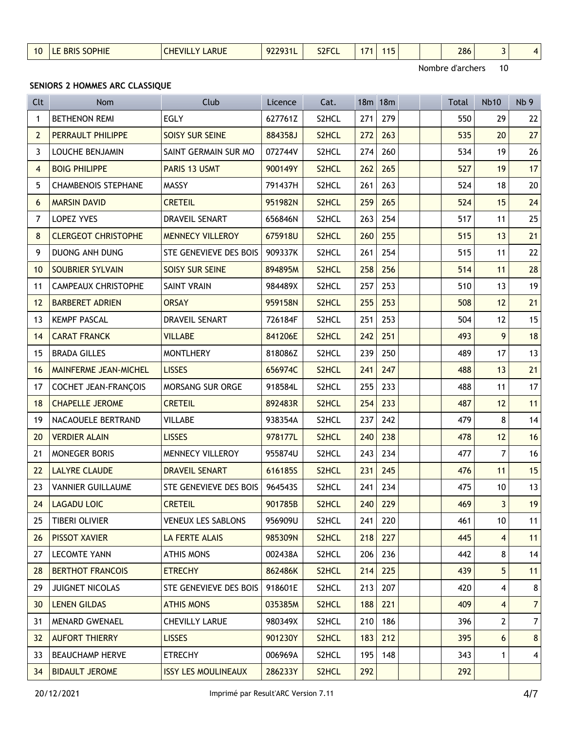| <b>SOPHIE</b><br>$\cdots$<br>S <sub>2</sub> FCI<br><b>ARUE</b><br>286<br>.<br>$\mathbf{M}$<br>10<br><b>DK</b><br><b>73 IL</b><br>74<br>.<br>_______<br>$\sim$<br>__ |
|---------------------------------------------------------------------------------------------------------------------------------------------------------------------|
|---------------------------------------------------------------------------------------------------------------------------------------------------------------------|

## **SENIORS 2 HOMMES ARC CLASSIQUE**

| Clt               | Nom                        | Club                       | Licence | Cat.               |     | 18m 18m |  | <b>Total</b> | <b>Nb10</b>    | Nb <sub>9</sub> |
|-------------------|----------------------------|----------------------------|---------|--------------------|-----|---------|--|--------------|----------------|-----------------|
| 1                 | <b>BETHENON REMI</b>       | EGLY                       | 627761Z | S2HCL              | 271 | 279     |  | 550          | 29             | 22              |
| $\overline{2}$    | PERRAULT PHILIPPE          | <b>SOISY SUR SEINE</b>     | 884358J | S2HCL              | 272 | 263     |  | 535          | 20             | 27              |
| 3                 | LOUCHE BENJAMIN            | SAINT GERMAIN SUR MO       | 072744V | S2HCL              | 274 | 260     |  | 534          | 19             | 26              |
| 4                 | <b>BOIG PHILIPPE</b>       | PARIS 13 USMT              | 900149Y | S2HCL              | 262 | 265     |  | 527          | 19             | 17              |
| 5                 | <b>CHAMBENOIS STEPHANE</b> | <b>MASSY</b>               | 791437H | S2HCL              | 261 | 263     |  | 524          | 18             | $20\,$          |
| 6                 | <b>MARSIN DAVID</b>        | <b>CRETEIL</b>             | 951982N | S2HCL              | 259 | 265     |  | 524          | 15             | 24              |
| 7                 | LOPEZ YVES                 | DRAVEIL SENART             | 656846N | S2HCL              | 263 | 254     |  | 517          | 11             | 25              |
| 8                 | <b>CLERGEOT CHRISTOPHE</b> | <b>MENNECY VILLEROY</b>    | 675918U | S2HCL              | 260 | 255     |  | 515          | 13             | 21              |
| 9                 | DUONG ANH DUNG             | STE GENEVIEVE DES BOIS     | 909337K | S2HCL              | 261 | 254     |  | 515          | 11             | 22              |
| 10 <sup>°</sup>   | <b>SOUBRIER SYLVAIN</b>    | <b>SOISY SUR SEINE</b>     | 894895M | S2HCL              | 258 | 256     |  | 514          | 11             | 28              |
| 11                | <b>CAMPEAUX CHRISTOPHE</b> | <b>SAINT VRAIN</b>         | 984489X | S2HCL              | 257 | 253     |  | 510          | 13             | 19              |
| $12 \overline{ }$ | <b>BARBERET ADRIEN</b>     | <b>ORSAY</b>               | 959158N | S2HCL              | 255 | 253     |  | 508          | 12             | 21              |
| 13                | <b>KEMPF PASCAL</b>        | DRAVEIL SENART             | 726184F | S2HCL              | 251 | 253     |  | 504          | 12             | 15              |
| 14                | <b>CARAT FRANCK</b>        | <b>VILLABE</b>             | 841206E | S2HCL              | 242 | 251     |  | 493          | 9              | 18              |
| 15                | <b>BRADA GILLES</b>        | <b>MONTLHERY</b>           | 818086Z | S2HCL              | 239 | 250     |  | 489          | 17             | 13              |
| 16                | MAINFERME JEAN-MICHEL      | <b>LISSES</b>              | 656974C | S2HCL              | 241 | 247     |  | 488          | 13             | 21              |
| 17                | COCHET JEAN-FRANÇOIS       | MORSANG SUR ORGE           | 918584L | S2HCL              | 255 | 233     |  | 488          | 11             | 17              |
| 18                | <b>CHAPELLE JEROME</b>     | <b>CRETEIL</b>             | 892483R | S2HCL              | 254 | 233     |  | 487          | 12             | 11              |
| 19                | NACAOUELE BERTRAND         | VILLABE                    | 938354A | S2HCL              | 237 | 242     |  | 479          | 8              | 14              |
| 20                | <b>VERDIER ALAIN</b>       | <b>LISSES</b>              | 978177L | S2HCL              | 240 | 238     |  | 478          | 12             | 16              |
| 21                | MONEGER BORIS              | MENNECY VILLEROY           | 955874U | S2HCL              | 243 | 234     |  | 477          | 7              | 16              |
| 22                | <b>LALYRE CLAUDE</b>       | <b>DRAVEIL SENART</b>      | 616185S | S2HCL              | 231 | 245     |  | 476          | 11             | 15              |
| 23                | <b>VANNIER GUILLAUME</b>   | STE GENEVIEVE DES BOIS     | 964543S | S2HCL              | 241 | 234     |  | 475          | 10             | 13              |
| 24                | <b>LAGADU LOIC</b>         | <b>CRETEIL</b>             | 901785B | S2HCL              | 240 | 229     |  | 469          | 3              | 19              |
| 25                | <b>TIBERI OLIVIER</b>      | <b>VENEUX LES SABLONS</b>  | 956909U | S2HCL              | 241 | 220     |  | 461          | 10             | 11              |
| 26                | <b>PISSOT XAVIER</b>       | LA FERTE ALAIS             | 985309N | S2HCL              | 218 | 227     |  | 445          | $\overline{4}$ | 11              |
| 27                | LECOMTE YANN               | <b>ATHIS MONS</b>          | 002438A | S2HCL              | 206 | 236     |  | 442          | 8              | 14              |
| 28                | <b>BERTHOT FRANCOIS</b>    | <b>ETRECHY</b>             | 862486K | S <sub>2</sub> HCL | 214 | 225     |  | 439          | 5              | 11              |
| 29                | JUIGNET NICOLAS            | STE GENEVIEVE DES BOIS     | 918601E | S2HCL              | 213 | 207     |  | 420          | 4              | 8               |
| 30 <sup>°</sup>   | <b>LENEN GILDAS</b>        | <b>ATHIS MONS</b>          | 035385M | S2HCL              | 188 | 221     |  | 409          | 4              | $\overline{7}$  |
| 31                | <b>MENARD GWENAEL</b>      | <b>CHEVILLY LARUE</b>      | 980349X | S2HCL              | 210 | 186     |  | 396          | $\overline{2}$ | $\overline{7}$  |
| 32                | <b>AUFORT THIERRY</b>      | <b>LISSES</b>              | 901230Y | S2HCL              | 183 | 212     |  | 395          | 6              | $\bf 8$         |
| 33                | <b>BEAUCHAMP HERVE</b>     | <b>ETRECHY</b>             | 006969A | S2HCL              | 195 | 148     |  | 343          | $\mathbf{1}$   | 4               |
| 34                | <b>BIDAULT JEROME</b>      | <b>ISSY LES MOULINEAUX</b> | 286233Y | S2HCL              | 292 |         |  | 292          |                |                 |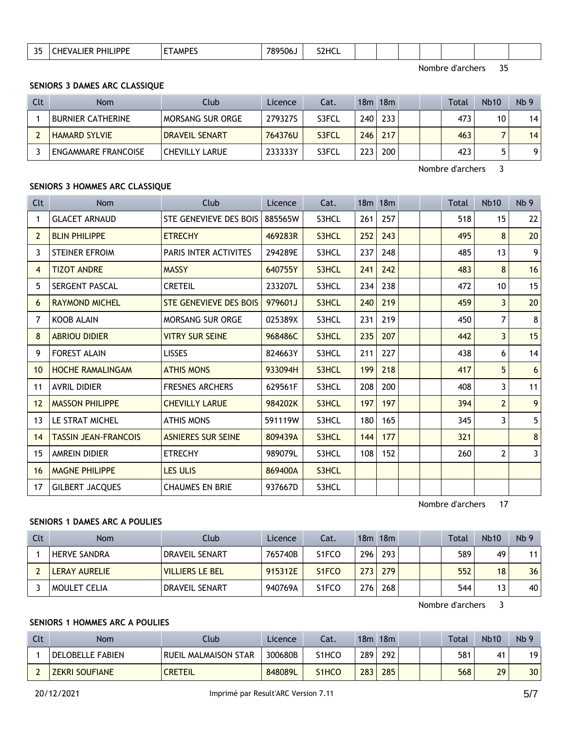|  | つに<br><b>ب ب</b> | .<br>the contract of the contract of the contract of the contract of the contract of the contract of the contract of | $\overline{\phantom{a}}$ AMP <sup><math>\overline{\phantom{a}}</math></sup> | 789<br>506. | <b>S2HCL</b> |  |  |  |  |  |  |  |
|--|------------------|----------------------------------------------------------------------------------------------------------------------|-----------------------------------------------------------------------------|-------------|--------------|--|--|--|--|--|--|--|
|--|------------------|----------------------------------------------------------------------------------------------------------------------|-----------------------------------------------------------------------------|-------------|--------------|--|--|--|--|--|--|--|

#### **SENIORS 3 DAMES ARC CLASSIQUE**

| Clt | <b>Nom</b>               | Club                  | Licence | Cat.  | 18 <sub>m</sub>  | 18m        |  | Total | <b>Nb10</b> | Nb <sub>9</sub> |
|-----|--------------------------|-----------------------|---------|-------|------------------|------------|--|-------|-------------|-----------------|
|     | <b>BURNIER CATHERINE</b> | MORSANG SUR ORGE      | 279327S | S3FCL | 240 <sub>1</sub> | 233        |  | 473   | 10          | 14              |
|     | <b>HAMARD SYLVIE</b>     | <b>DRAVEIL SENART</b> | 764376U | S3FCL | 246              | 217        |  | 463   |             | 14              |
|     | ENGAMMARE FRANCOISE      | CHEVILLY LARUE        | 233333Y | S3FCL | 223              | <b>200</b> |  | 423   |             | 91              |

Nombre d'archers 3

## **SENIORS 3 HOMMES ARC CLASSIQUE**

| Clt            | Nom                         | Club                          | Licence | Cat.  |     | 18m 18m |  | <b>Total</b> | <b>Nb10</b>    | Nb <sub>9</sub> |
|----------------|-----------------------------|-------------------------------|---------|-------|-----|---------|--|--------------|----------------|-----------------|
| 1              | <b>GLACET ARNAUD</b>        | STE GENEVIEVE DES BOIS        | 885565W | S3HCL | 261 | 257     |  | 518          | 15             | 22              |
| $\overline{2}$ | <b>BLIN PHILIPPE</b>        | <b>ETRECHY</b>                | 469283R | S3HCL | 252 | 243     |  | 495          | 8              | 20              |
| 3              | <b>STEINER EFROIM</b>       | PARIS INTER ACTIVITES         | 294289E | S3HCL | 237 | 248     |  | 485          | 13             | 9               |
| 4              | <b>TIZOT ANDRE</b>          | <b>MASSY</b>                  | 640755Y | S3HCL | 241 | 242     |  | 483          | 8              | 16              |
| 5              | SERGENT PASCAL              | <b>CRETEIL</b>                | 233207L | S3HCL | 234 | 238     |  | 472          | 10             | 15              |
| 6              | <b>RAYMOND MICHEL</b>       | <b>STE GENEVIEVE DES BOIS</b> | 979601J | S3HCL | 240 | 219     |  | 459          | 3              | 20              |
| $\overline{7}$ | <b>KOOB ALAIN</b>           | <b>MORSANG SUR ORGE</b>       | 025389X | S3HCL | 231 | 219     |  | 450          | $\overline{7}$ | 8               |
| 8              | <b>ABRIOU DIDIER</b>        | <b>VITRY SUR SEINE</b>        | 968486C | S3HCL | 235 | 207     |  | 442          | $\overline{3}$ | 15              |
| 9              | <b>FOREST ALAIN</b>         | <b>LISSES</b>                 | 824663Y | S3HCL | 211 | 227     |  | 438          | 6              | 14              |
| 10             | <b>HOCHE RAMALINGAM</b>     | <b>ATHIS MONS</b>             | 933094H | S3HCL | 199 | 218     |  | 417          | 5              | 6               |
| 11             | <b>AVRIL DIDIER</b>         | <b>FRESNES ARCHERS</b>        | 629561F | S3HCL | 208 | 200     |  | 408          | 3              | 11              |
| 12             | <b>MASSON PHILIPPE</b>      | <b>CHEVILLY LARUE</b>         | 984202K | S3HCL | 197 | 197     |  | 394          | $\overline{2}$ | 9               |
| 13             | LE STRAT MICHEL             | <b>ATHIS MONS</b>             | 591119W | S3HCL | 180 | 165     |  | 345          | 3              | 5               |
| 14             | <b>TASSIN JEAN-FRANCOIS</b> | <b>ASNIERES SUR SEINE</b>     | 809439A | S3HCL | 144 | 177     |  | 321          |                | 8               |
| 15             | AMREIN DIDIER               | <b>ETRECHY</b>                | 989079L | S3HCL | 108 | 152     |  | 260          | 2              | 3               |
| 16             | <b>MAGNE PHILIPPE</b>       | <b>LES ULIS</b>               | 869400A | S3HCL |     |         |  |              |                |                 |
| 17             | <b>GILBERT JACQUES</b>      | <b>CHAUMES EN BRIE</b>        | 937667D | S3HCL |     |         |  |              |                |                 |

Nombre d'archers 17

## **SENIORS 1 DAMES ARC A POULIES**

| Clt | Nom                 | Club                   | Licence | Cat.                           |     | $18m$ 18 $m$ |  | Total | <b>Nb10</b> | Nb <sub>9</sub> |
|-----|---------------------|------------------------|---------|--------------------------------|-----|--------------|--|-------|-------------|-----------------|
|     | <b>HERVE SANDRA</b> | DRAVEIL SENART         | 765740B | S <sub>1</sub> FCO             | 296 | 293          |  | 589   | 49          | 11 <sub>1</sub> |
|     | LERAY AURELIE       | <b>VILLIERS LE BEL</b> | 915312E | S <sub>1</sub> F <sub>CO</sub> | 273 | 279          |  | 552   | 18          | 36              |
|     | <b>MOULET CELIA</b> | DRAVEIL SENART         | 940769A | S <sub>1</sub> FCO             | 276 | 268          |  | 544   |             | 40              |

Nombre d'archers 3

## **SENIORS 1 HOMMES ARC A POULIES**

| Clt | Nom                   | Club.                | Licence | Cat.  | 18m | 18m |  | <b>Total</b> | <b>Nb10</b> | Nb <sub>9</sub> |
|-----|-----------------------|----------------------|---------|-------|-----|-----|--|--------------|-------------|-----------------|
|     | DELOBELLE FABIEN      | RUEIL MALMAISON STAR | 300680B | S1HCC | 289 | 292 |  | 581          |             | 19              |
|     | <b>ZEKRI SOUFIANE</b> | <b>CRETEIL</b>       | 848089L | S1HCO | 283 | 285 |  | 568          | 29          | 30 <sup>1</sup> |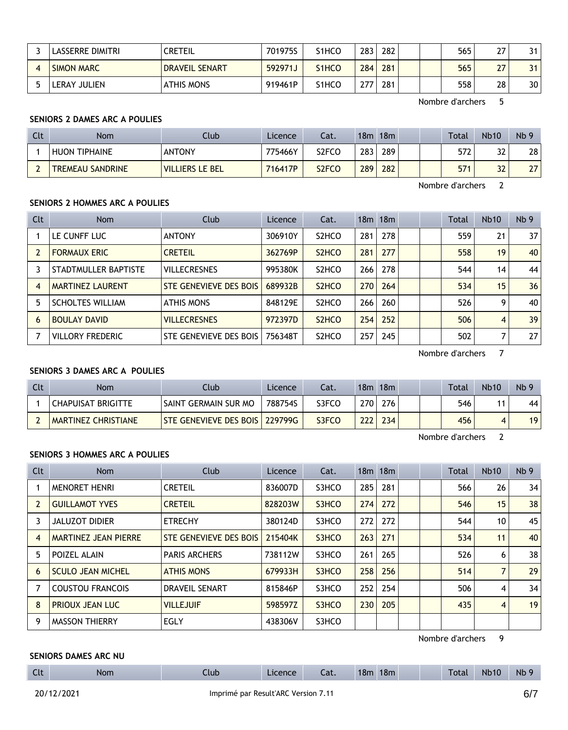| LASSERRE DIMITRI  | <b>CRETEIL</b>        | 701975S | S1HCO                          | 283 | 282 |  | 565 | າ  | 31 |
|-------------------|-----------------------|---------|--------------------------------|-----|-----|--|-----|----|----|
| <b>SIMON MARC</b> | <b>DRAVEIL SENART</b> | 592971J | S <sub>1</sub> HC <sub>O</sub> | 284 | 281 |  | 565 | 77 | 31 |
| LERAY JULIEN      | <b>ATHIS MONS</b>     | 919461P | S1HCO                          | 777 | 281 |  | 558 | 28 | 30 |

## **SENIORS 2 DAMES ARC A POULIES**

| Clt | <b>Nom</b>              | Club                   | Licence | Cat.  | 18m | 18 <sub>m</sub> |  | Total | <b>Nb10</b> | Nb <sub>9</sub> |
|-----|-------------------------|------------------------|---------|-------|-----|-----------------|--|-------|-------------|-----------------|
|     | <b>HUON TIPHAINE</b>    | <b>ANTONY</b>          | 775466Y | S2FCO | 283 | 289             |  | 572   | 32          | 28              |
|     | <b>TREMEAU SANDRINE</b> | <b>VILLIERS LE BEL</b> | 716417P | S2FCO | 289 | 282             |  | 571   | 32          | 27              |

Nombre d'archers 2

#### **SENIORS 2 HOMMES ARC A POULIES**

| Clt | <b>Nom</b>              | Club                   | Licence | Cat.                           |     | 18m 18m |  | Total | <b>Nb10</b> | Nb <sub>9</sub> |
|-----|-------------------------|------------------------|---------|--------------------------------|-----|---------|--|-------|-------------|-----------------|
|     | LE CUNFF LUC            | <b>ANTONY</b>          | 306910Y | S <sub>2</sub> HCO             | 281 | 278     |  | 559   | 21          | 37 <sup>2</sup> |
|     | <b>FORMAUX ERIC</b>     | <b>CRETEIL</b>         | 362769P | S <sub>2</sub> H <sub>CO</sub> | 281 | 277     |  | 558   | 19          | 40 <sup>1</sup> |
|     | STADTMULLER BAPTISTE    | <b>VILLECRESNES</b>    | 995380K | S <sub>2</sub> HCO             | 266 | 278     |  | 544   | 14          | 44              |
| 4   | <b>MARTINEZ LAURENT</b> | STE GENEVIEVE DES BOIS | 689932B | S <sub>2</sub> H <sub>CO</sub> | 270 | 264     |  | 534   | 15          | 36              |
|     | <b>SCHOLTES WILLIAM</b> | <b>ATHIS MONS</b>      | 848129E | S <sub>2</sub> HCO             | 266 | 260     |  | 526   | 9           | 40              |
| 6   | <b>BOULAY DAVID</b>     | <b>VILLECRESNES</b>    | 972397D | S <sub>2</sub> H <sub>CO</sub> | 254 | 252     |  | 506   | 4           | 39              |
|     | <b>VILLORY FREDERIC</b> | STE GENEVIEVE DES BOIS | 756348T | S <sub>2</sub> HCO             | 257 | 245     |  | 502   |             | 27 <sup>2</sup> |

Nombre d'archers 7

## **SENIORS 3 DAMES ARC A POULIES**

| Clt | Nom                        | Clubi                                 | Licence | Cat.  |     | 18m 18m |  | <b>Total</b> | <b>Nb10</b> | Nb <sub>9</sub> |
|-----|----------------------------|---------------------------------------|---------|-------|-----|---------|--|--------------|-------------|-----------------|
|     | ' CHAPUISAT BRIGITTE       | ' SAINT GERMAIN SUR MO                | 788754S | S3FCO | 270 | 276     |  | 546          | 11          | 44              |
|     | <b>MARTINEZ CHRISTIANE</b> | <b>STE GENEVIEVE DES BOIS 229799G</b> |         | S3FCO | 222 | 234     |  | 456          |             | 19              |

Nombre d'archers 2

## **SENIORS 3 HOMMES ARC A POULIES**

| Clt | Nom                         | Club                   | Licence | Cat.  |     | $18m$ 18 $m$ |  | Total | <b>Nb10</b>     | Nb <sub>9</sub> |
|-----|-----------------------------|------------------------|---------|-------|-----|--------------|--|-------|-----------------|-----------------|
|     | <b>MENORET HENRI</b>        | <b>CRETEIL</b>         | 836007D | S3HCO | 285 | 281          |  | 566   | 26              | 34              |
|     | <b>GUILLAMOT YVES</b>       | <b>CRETEIL</b>         | 828203W | S3HCO | 274 | 272          |  | 546   | 15              | 38              |
|     | <b>JALUZOT DIDIER</b>       | <b>ETRECHY</b>         | 380124D | S3HCO | 272 | 272          |  | 544   | 10 <sup>°</sup> | 45              |
| 4   | <b>MARTINEZ JEAN PIERRE</b> | STE GENEVIEVE DES BOIS | 215404K | S3HCO | 263 | 271          |  | 534   | 11              | 40              |
| 5   | POIZEL ALAIN                | <b>PARIS ARCHERS</b>   | 738112W | S3HCO | 261 | 265          |  | 526   | 6               | 38              |
| 6   | <b>SCULO JEAN MICHEL</b>    | <b>ATHIS MONS</b>      | 679933H | S3HCO | 258 | 256          |  | 514   | 7               | 29              |
|     | <b>COUSTOU FRANCOIS</b>     | <b>DRAVEIL SENART</b>  | 815846P | S3HCO | 252 | 254          |  | 506   | 4               | 34              |
| 8   | PRIOUX JEAN LUC             | <b>VILLEJUIF</b>       | 598597Z | S3HCO | 230 | 205          |  | 435   | 4               | 19              |
| 9   | <b>MASSON THIERRY</b>       | <b>EGLY</b>            | 438306V | S3HCO |     |              |  |       |                 |                 |

Nombre d'archers 9

#### **SENIORS DAMES ARC NU**

| $\mathsf{C}$<br> | Nom | Jub <sub>-</sub> | $\mathsf{\neg}$ cence | Cat. | 18n | 18m | Total | <b>Nb10</b> | 5.11<br><b>NL</b> |
|------------------|-----|------------------|-----------------------|------|-----|-----|-------|-------------|-------------------|
|                  |     |                  |                       |      |     |     |       |             |                   |